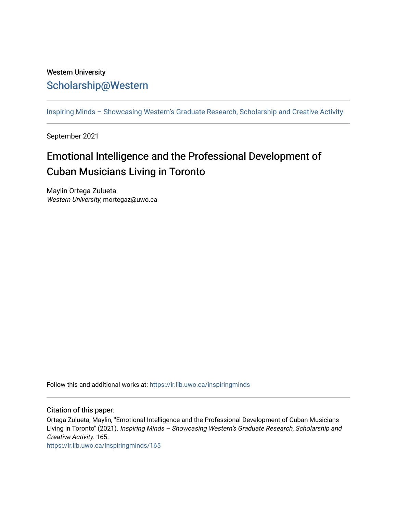## Western University [Scholarship@Western](https://ir.lib.uwo.ca/)

[Inspiring Minds – Showcasing Western's Graduate Research, Scholarship and Creative Activity](https://ir.lib.uwo.ca/inspiringminds) 

September 2021

## Emotional Intelligence and the Professional Development of Cuban Musicians Living in Toronto

Maylin Ortega Zulueta Western University, mortegaz@uwo.ca

Follow this and additional works at: [https://ir.lib.uwo.ca/inspiringminds](https://ir.lib.uwo.ca/inspiringminds?utm_source=ir.lib.uwo.ca%2Finspiringminds%2F165&utm_medium=PDF&utm_campaign=PDFCoverPages) 

## Citation of this paper:

Ortega Zulueta, Maylin, "Emotional Intelligence and the Professional Development of Cuban Musicians Living in Toronto" (2021). Inspiring Minds – Showcasing Western's Graduate Research, Scholarship and Creative Activity. 165.

[https://ir.lib.uwo.ca/inspiringminds/165](https://ir.lib.uwo.ca/inspiringminds/165?utm_source=ir.lib.uwo.ca%2Finspiringminds%2F165&utm_medium=PDF&utm_campaign=PDFCoverPages)